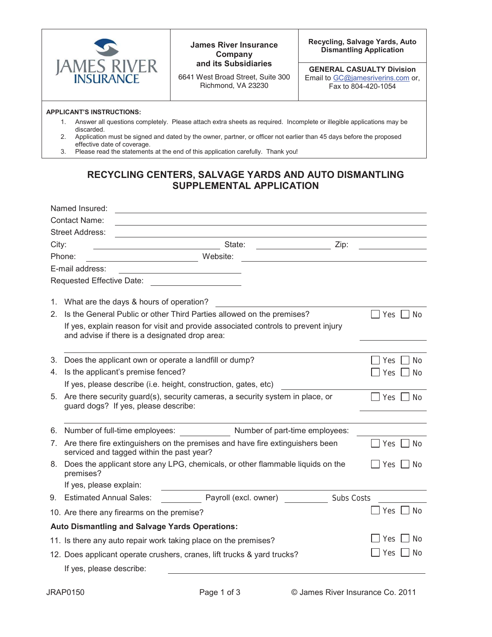

**James River Insurance Company and its Subsidiaries**

6641 West Broad Street, Suite 300 Richmond, VA 23230

**Recycling, Salvage Yards, Auto Dismantling Application** 

**GENERAL CASUALTY Division**  Email to GC@jamesriverins.com or, Fax to 804-420-1054

## **APPLICANT'S INSTRUCTIONS:**

- 1. Answer all questions completely. Please attach extra sheets as required. Incomplete or illegible applications may be discarded.
- 2. Application must be signed and dated by the owner, partner, or officer not earlier than 45 days before the proposed effective date of coverage.
- 3. Please read the statements at the end of this application carefully. Thank you!

## **RECYCLING CENTERS, SALVAGE YARDS AND AUTO DISMANTLING SUPPLEMENTAL APPLICATION**

|       | Named Insured:                                                                                                                                              |                    |  |  |  |
|-------|-------------------------------------------------------------------------------------------------------------------------------------------------------------|--------------------|--|--|--|
|       | <b>Contact Name:</b>                                                                                                                                        |                    |  |  |  |
|       | <b>Street Address:</b><br><u> 1989 - Johann Barbara, martin a</u>                                                                                           |                    |  |  |  |
| City: | State:<br>Zip:<br><u> 1990 - John Harry Barnett, politik a</u>                                                                                              |                    |  |  |  |
|       | Phone:<br>Website:                                                                                                                                          |                    |  |  |  |
|       | E-mail address:                                                                                                                                             |                    |  |  |  |
|       |                                                                                                                                                             |                    |  |  |  |
|       |                                                                                                                                                             |                    |  |  |  |
| 1.    | What are the days & hours of operation?                                                                                                                     |                    |  |  |  |
| 2.    | Is the General Public or other Third Parties allowed on the premises?<br>If yes, explain reason for visit and provide associated controls to prevent injury | Yes<br><b>No</b>   |  |  |  |
|       |                                                                                                                                                             |                    |  |  |  |
|       | and advise if there is a designated drop area:                                                                                                              |                    |  |  |  |
| 3.    | Does the applicant own or operate a landfill or dump?                                                                                                       | Yes<br><b>No</b>   |  |  |  |
|       | 4. Is the applicant's premise fenced?                                                                                                                       | Yes<br>No          |  |  |  |
|       | If yes, please describe (i.e. height, construction, gates, etc)                                                                                             |                    |  |  |  |
|       | 5. Are there security guard(s), security cameras, a security system in place, or                                                                            | <b>Yes</b><br>- No |  |  |  |
|       | guard dogs? If yes, please describe:                                                                                                                        |                    |  |  |  |
|       |                                                                                                                                                             |                    |  |  |  |
| 6.    | Number of part-time employees:<br>Number of full-time employees:                                                                                            |                    |  |  |  |
|       | 7. Are there fire extinguishers on the premises and have fire extinguishers been<br>serviced and tagged within the past year?                               | Yes<br>No.         |  |  |  |
| 8.    | Does the applicant store any LPG, chemicals, or other flammable liquids on the<br>premises?                                                                 | No<br>Yes I        |  |  |  |
|       | If yes, please explain:                                                                                                                                     |                    |  |  |  |
|       | Payroll (excl. owner)<br>9. Estimated Annual Sales:<br>Subs Costs                                                                                           |                    |  |  |  |
|       | 10. Are there any firearms on the premise?                                                                                                                  | Yes<br>No          |  |  |  |
|       | Auto Dismantling and Salvage Yards Operations:                                                                                                              |                    |  |  |  |
|       | 11. Is there any auto repair work taking place on the premises?                                                                                             | No<br>Yes          |  |  |  |
|       | 12. Does applicant operate crushers, cranes, lift trucks & yard trucks?                                                                                     | Yes<br>No.         |  |  |  |
|       | If yes, please describe:                                                                                                                                    |                    |  |  |  |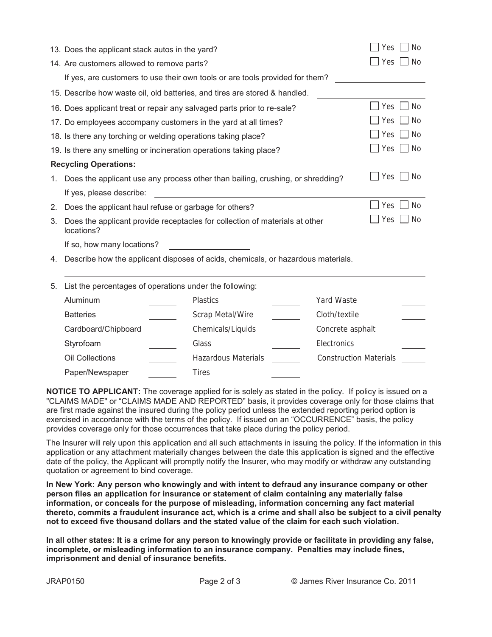|                                                                    | 13. Does the applicant stack autos in the yard?                                                        |  |                            |  |                               | Yes | <b>No</b> |  |
|--------------------------------------------------------------------|--------------------------------------------------------------------------------------------------------|--|----------------------------|--|-------------------------------|-----|-----------|--|
|                                                                    | 14. Are customers allowed to remove parts?                                                             |  |                            |  |                               | Yes | <b>No</b> |  |
|                                                                    | If yes, are customers to use their own tools or are tools provided for them?                           |  |                            |  |                               |     |           |  |
|                                                                    | 15. Describe how waste oil, old batteries, and tires are stored & handled.                             |  |                            |  |                               |     |           |  |
|                                                                    | Yes<br>16. Does applicant treat or repair any salvaged parts prior to re-sale?                         |  |                            |  |                               |     | <b>No</b> |  |
| 17. Do employees accompany customers in the yard at all times?     |                                                                                                        |  |                            |  |                               | Yes | <b>No</b> |  |
| 18. Is there any torching or welding operations taking place?      |                                                                                                        |  |                            |  |                               | Yes | No        |  |
| 19. Is there any smelting or incineration operations taking place? |                                                                                                        |  |                            |  |                               | Yes | No        |  |
| <b>Recycling Operations:</b>                                       |                                                                                                        |  |                            |  |                               |     |           |  |
| 1.                                                                 | Does the applicant use any process other than bailing, crushing, or shredding?                         |  |                            |  |                               | Yes | <b>No</b> |  |
|                                                                    | If yes, please describe:                                                                               |  |                            |  |                               |     |           |  |
| 2.                                                                 | Does the applicant haul refuse or garbage for others?                                                  |  |                            |  |                               | Yes | <b>No</b> |  |
| 3.                                                                 | Yes<br>No<br>Does the applicant provide receptacles for collection of materials at other<br>locations? |  |                            |  |                               |     |           |  |
|                                                                    | If so, how many locations?                                                                             |  |                            |  |                               |     |           |  |
| 4.                                                                 | Describe how the applicant disposes of acids, chemicals, or hazardous materials.                       |  |                            |  |                               |     |           |  |
| 5.                                                                 | List the percentages of operations under the following:                                                |  |                            |  |                               |     |           |  |
|                                                                    | Aluminum                                                                                               |  | <b>Plastics</b>            |  | Yard Waste                    |     |           |  |
|                                                                    | <b>Batteries</b>                                                                                       |  | Scrap Metal/Wire           |  | Cloth/textile                 |     |           |  |
|                                                                    | Cardboard/Chipboard                                                                                    |  | Chemicals/Liquids          |  | Concrete asphalt              |     |           |  |
|                                                                    | Styrofoam                                                                                              |  | Glass                      |  | Electronics                   |     |           |  |
|                                                                    | <b>Oil Collections</b>                                                                                 |  | <b>Hazardous Materials</b> |  | <b>Construction Materials</b> |     |           |  |
|                                                                    | Paper/Newspaper                                                                                        |  | <b>Tires</b>               |  |                               |     |           |  |

**NOTICE TO APPLICANT:** The coverage applied for is solely as stated in the policy. If policy is issued on a "CLAIMS MADE" or "CLAIMS MADE AND REPORTED" basis, it provides coverage only for those claims that are first made against the insured during the policy period unless the extended reporting period option is exercised in accordance with the terms of the policy. If issued on an "OCCURRENCE" basis, the policy provides coverage only for those occurrences that take place during the policy period.

The Insurer will rely upon this application and all such attachments in issuing the policy. If the information in this application or any attachment materially changes between the date this application is signed and the effective date of the policy, the Applicant will promptly notify the Insurer, who may modify or withdraw any outstanding quotation or agreement to bind coverage.

**In New York: Any person who knowingly and with intent to defraud any insurance company or other person files an application for insurance or statement of claim containing any materially false information, or conceals for the purpose of misleading, information concerning any fact material thereto, commits a fraudulent insurance act, which is a crime and shall also be subject to a civil penalty not to exceed five thousand dollars and the stated value of the claim for each such violation.** 

**In all other states: It is a crime for any person to knowingly provide or facilitate in providing any false, incomplete, or misleading information to an insurance company. Penalties may include fines, imprisonment and denial of insurance benefits.**